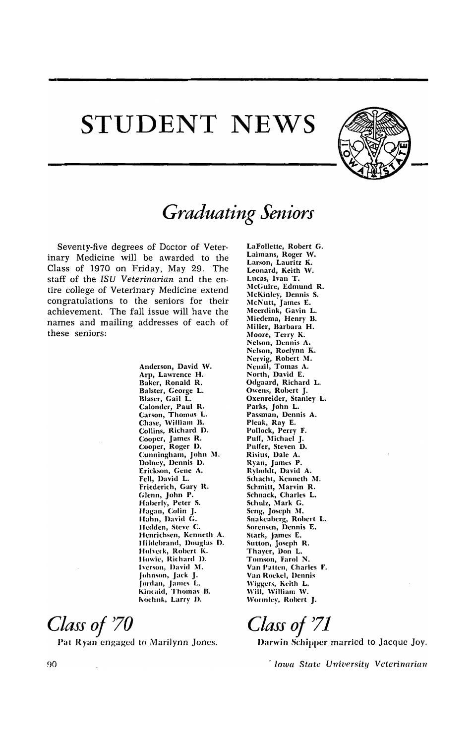# **STUDENT NEWS**



## **Graduating Seniors**

Seventy-five degrees of Doctor of Veterinary Medicine will be awarded to the Class of 1970 on Friday, May 29. The staff of the ISU Veterinarian and the entire college of Veterinary Medicine extend congratulations to the seniors for their achievement. The fall issue will have the names and mailing addresses of each of these seniors:

> Anderson, David W. Arp, Lawrence H. Baker, Ronald R. Balster, George L. Blaser, Gail L. Calonder, Paul R. Carson, Thomas L.<br>Chase, William B. Collins, Richard D. Cooper, James R.<br>Cooper, Roger D. Cunningham, John M. Dolney, Dennis D. Erickson, Gene A. Fell, David L. Friederich, Gary R. Glenn, John P. Haberly, Peter S. Hagan, Colin J.<br>Hahn, David G. Hedden, Steve C. Henrichsen, Kenneth A. Hildebrand, Douglas D. Holveck, Robert K. Howie, Richard D. Iverson, David M. Johnson, Jack J. Johnson, Jack J.<br>Jordan, James L.<br>Kincaid, Thomas B.<br>Kochnk, Larry D.

Class of '70

Pat Ryan engaged to Marilynn Jones.

LaFollette, Robert G. Laimans, Roger W. Larson, Lauritz K. Leonard, Keith W. Lucas, Ivan T. McGuire, Edmund R. McKinley, Dennis S.<br>McNutt, James E. Meerdink, Gavin L.<br>Miedema, Henry B. Miller, Barbara H. Moore, Terry K. Nelson, Dennis A.<br>Nelson, Roelynn K. Nervig, Robert M.<br>Neuzil, Tomas A. North, David E. Odgaard, Richard L. Owens, Robert J. Oxenreider, Stanley L. Parks, John L. Passman, Dennis A. Pleak, Ray E. Pollock, Perry F. Puff, Michael J. Puffer, Steven D.<br>Risius, Dale A. Ryan, James P.<br>Ryboldt, David A. Schacht, Kenneth M.<br>Schmitt, Marvin R. Schnack, Charles L. Schulz, Mark G. Seng, Joseph M. Snakenberg, Robert L. Sorensen, Dennis E. Stark, James E. Sutton, Joseph R. Thayer, Don L.<br>Tomson, Farol N. Van Patten, Charles F. Van Rockel, Dennis Wiggers, Keith L. Will, William W. Wormley, Robert J.

Class of '71

Darwin Schipper married to Jacque Joy.

Iowa State University Veterinarian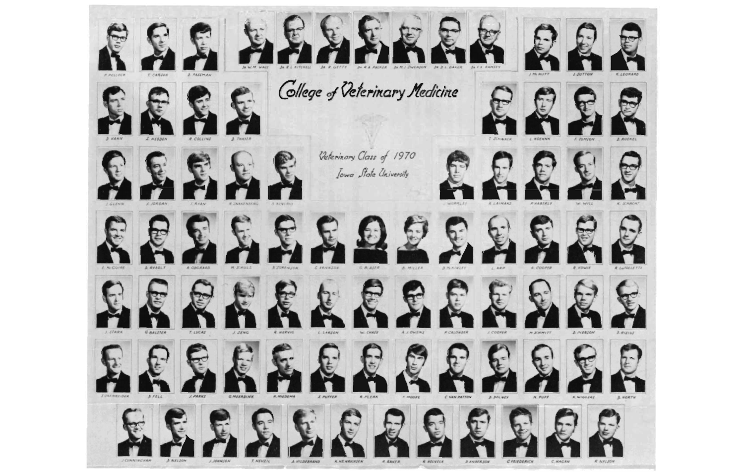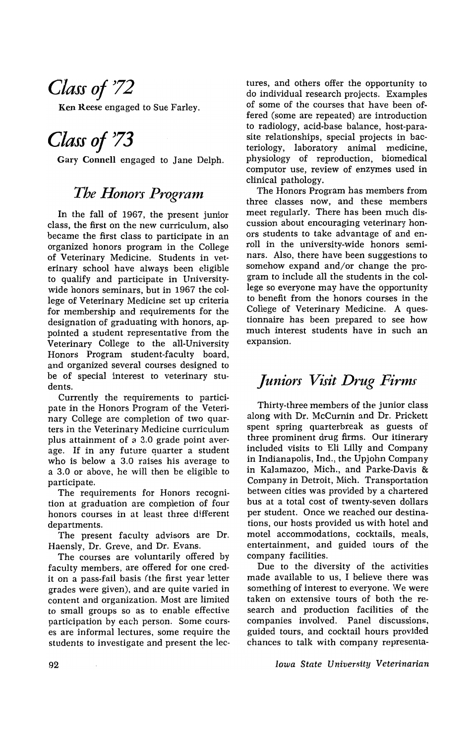## *Classof'l2*

Ken Reese engaged to Sue Farley.

## *Class of '73*

Gary Connell engaged to Jane Delph.

### *The Honors Program*

In the fall of 1967, the present junior class, the first on the new curriculum, also became the first class to participate in an organized honors program in the College of Veterinary Medicine. Students in veterinary school have always been eligible to qualify and participate in Universitywide honors seminars, but in 1967 the college of Veterinary Medicine set up criteria for membership and requirements for the designation of graduating with honors, appointed a student representative from the Veterinary College to the all-University Honors Program student-faculty board, and organized several courses designed to be of special interest to veterinary students.

Currently the requirements to participate in the Honors Program of the Veterinary College are completion of two quarters in the Veterinary Medicine curriculum plus attainment of a 3.0 grade point average. If in any future quarter a student who is below a 3.0 raises his average to a 3.0 or above, he will then be eligible to participate.

The requirements for Honors recognition at graduation are completion of four honors courses in at least three different departments.

The present faculty advisors are Dr. Haensly, Dr. Greve, and Dr. Evans.

The courses are voluntarily offered by faculty members, are offered for one credit on a pass-fail basis (the first year letter grades were given), and are quite varied in content and organization. Most are limited to small groups so as to enable effective participation by each person. Some courses are informal lectures, some require the students to investigate and present the lectures, and others offer the opportunity to do individual research projects. Examples of some of the courses that have been offered (some are repeated) are introduction to radiology, acid-base balance, host-parasite relationships, special projects in bacteriology, laboratory animal medicine, physiology of reproduction, biomedical computor use, review of enzymes used in clinical pathology.

The Honors Program has members from three classes now, and these members meet regularly. There has been much discussion about encouraging veterinary honors students to take advantage of and enroll in the university-wide honors seminars. Also, there have been suggestions to somehow expand and/or change the program to include all the students in the college so everyone may have the opportunity to benefit from the honors courses in the College of Veterinary Medicine. A questionnaire has been prepared to see how much interest students have in such an expansion.

### *Juniors Visit Drug Firms*

Thirty-three members of the junior class along with Dr. McCurnin and Dr. Prickett spent spring quarterbreak as guests of three prominent drug firms. Our itinerary included visits to Eli Lilly and Company in Indianapolis, Ind., the Upjohn Company in Kalamazoo, Mich., and Parke-Davis & Company in Detroit, Mich. Transportation between cities was provided by a chartered bus at a total cost of twenty-seven dollars per student. Once we reached our destinations, our hosts provided us with hotel and motel accommodations, cocktails, meals, entertainment, and guided tours of the company facilities.

Due to the diversity of the activities made available to us, I believe there was something of interest to everyone. We were taken on extensive tours of both the research and production facilities of the companies involved. Panel discussions, guided tours, and cocktail hours provided chances to talk with company representa-

*Iowa State University Veterinarian*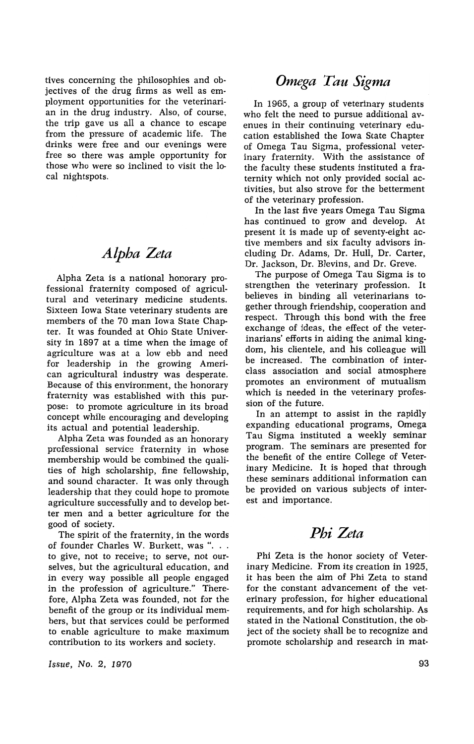tives concerning the philosophies and objectives of the drug firms as well as employment opportunities for the veterinarian in the drug industry. Also, of course, the trip gave us all a chance to escape from the pressure of academic life. The drinks were free and our evenings were free so there was ample opportunity for those who were so inclined to visit the local nightspots.

### *Alpha Zeta*

Alpha Zeta is a national honorary professional fraternity composed of agricultural and veterinary medicine students. Sixteen Iowa State veterinary students are members of the 70 man Iowa State Chapter. It was founded at Ohio State University in 1897 at a time when the image of agriculture was at a low ebb and need for leadership in the growing American agricultural industry was desperate. Because of this environment, the honorary fraternity was established with this purpose: to promote agriculture in its broad concept while encouraging and developing its actual and potential leadership.

Alpha Zeta was founded as an honorary professional service fraternity in whose membership would be combined the qualities of high scholarship, fine fellowship, and sound character. It was only through leadership that they could hope to promote agriculture successfully and to develop better men and a better agriculture for the good of society.

The spirit of the fraternity, in the words of founder Charles W. Burkett, was ". . . to give, not to receive; to serve, not ourselves, but the agricultural education, and in every way possible all people engaged in the profession of agriculture." Therefore, Alpha Zeta was founded, not for the benefit of the group or its individual members, but that services could be performed to enable agriculture to make maximum contribution to its workers and society.

Issue, No.2, 1970

### *Omega Tau Sigma*

In 1965, a group of veterinary students who felt the need to pursue additional avenues in their continuing veterinary education established the Iowa State Chapter of Omega Tau Sigma, professional veterinary fraternity. With the assistance of the faculty these students instituted a fraternity which not only provided social activities, but also strove for the betterment of the veterinary profession.

In the last five years Omega Tau Sigma has continued to grow and develop. At present it is made up of seventy-eight active members and six faculty advisors including Dr. Adams, Dr. Hull, Dr. Carter, Dr. Jackson, Dr. Blevins, and Dr. Greve.

The purpose of Omega Tau Sigma is to strengthen the veterinary profession. It believes in binding all veterinarians together through friendship, cooperation and respect. Through this bond with the free exchange of ideas, the effect of the veterinarians' efforts in aiding the animal kingdom, his clientele, and his colleague will be increased. The combination of interclass association and social atmosphere promotes an environment of mutualism which is needed in the veterinary profession of the future.

In an attempt to assist in the rapidly expanding educational programs, Omega Tau Sigma instituted a weekly seminar program. The seminars are presented for the benefit of the entire College of Veterinary Medicine. It is hoped that through these seminars additional information can be provided on various subjects of interest and importance.

#### *Phi Zeta*

Phi Zeta is the honor society of Veterinary Medicine. From its creation in 1925, it has been the aim of Phi Zeta to stand for the constant advancement of the veterinary profession, for higher educational requirements, and for high scholarship. As stated in the National Constitution, the object of the society shall be to recognize and promote scholarship and research in mat-